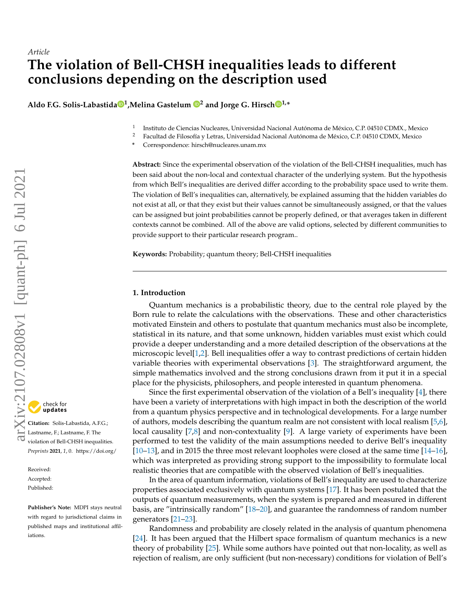# *Article* **The violation of Bell-CHSH inequalities leads to different conclusions depending on the description used**

 $\blacksquare$  $\blacksquare$  $\blacksquare$  Aldo F.G. Solis-Labastida $\blacksquare^\mathbf{1}$  $\blacksquare^\mathbf{1}$  $\blacksquare^\mathbf{1}$ ,Melina Gastelum  $\blacksquare^\mathbf{2}$  $\blacksquare^\mathbf{2}$  $\blacksquare^\mathbf{2}$  and Jorge G. Hirsch $\blacksquare^\mathbf{1,*}$ 

- 1 Instituto de Ciencias Nucleares, Universidad Nacional Autónoma de México, C.P. 04510 CDMX., Mexico
- <sup>2</sup> Facultad de Filosofía y Letras, Universidad Nacional Autónoma de México, C.P. 04510 CDMX, Mexico
- **\*** Correspondence: hirsch@nucleares.unam.mx

**Abstract:** Since the experimental observation of the violation of the Bell-CHSH inequalities, much has been said about the non-local and contextual character of the underlying system. But the hypothesis from which Bell's inequalities are derived differ according to the probability space used to write them. The violation of Bell's inequalities can, alternatively, be explained assuming that the hidden variables do not exist at all, or that they exist but their values cannot be simultaneously assigned, or that the values can be assigned but joint probabilities cannot be properly defined, or that averages taken in different contexts cannot be combined. All of the above are valid options, selected by different communities to provide support to their particular research program..

**Keywords:** Probability; quantum theory; Bell-CHSH inequalities

# **1. Introduction**

Quantum mechanics is a probabilistic theory, due to the central role played by the Born rule to relate the calculations with the observations. These and other characteristics motivated Einstein and others to postulate that quantum mechanics must also be incomplete, statistical in its nature, and that some unknown, hidden variables must exist which could provide a deeper understanding and a more detailed description of the observations at the microscopic level[\[1](#page-15-0)[,2\]](#page-15-1). Bell inequalities offer a way to contrast predictions of certain hidden variable theories with experimental observations [\[3\]](#page-15-2). The straightforward argument, the simple mathematics involved and the strong conclusions drawn from it put it in a special place for the physicists, philosophers, and people interested in quantum phenomena.

Since the first experimental observation of the violation of a Bell's inequality [\[4\]](#page-15-3), there have been a variety of interpretations with high impact in both the description of the world from a quantum physics perspective and in technological developments. For a large number of authors, models describing the quantum realm are not consistent with local realism [\[5](#page-15-4)[,6\]](#page-15-5), local causality [\[7](#page-15-6)[,8\]](#page-15-7) and non-contextuality [\[9\]](#page-15-8). A large variety of experiments have been performed to test the validity of the main assumptions needed to derive Bell's inequality [\[10](#page-15-9)[–13\]](#page-15-10), and in 2015 the three most relevant loopholes were closed at the same time [\[14](#page-15-11)[–16\]](#page-16-0), which was interpreted as providing strong support to the impossibility to formulate local realistic theories that are compatible with the observed violation of Bell's inequalities.

In the area of quantum information, violations of Bell's inequality are used to characterize properties associated exclusively with quantum systems [\[17\]](#page-16-1). It has been postulated that the outputs of quantum measurements, when the system is prepared and measured in different basis, are "intrinsically random" [\[18](#page-16-2)[–20\]](#page-16-3), and guarantee the randomness of random number generators [\[21–](#page-16-4)[23\]](#page-16-5).

Randomness and probability are closely related in the analysis of quantum phenomena [\[24\]](#page-16-6). It has been argued that the Hilbert space formalism of quantum mechanics is a new theory of probability [\[25\]](#page-16-7). While some authors have pointed out that non-locality, as well as rejection of realism, are only sufficient (but non-necessary) conditions for violation of Bell's

**Citation:** Solis-Labastida, A.F.G.; Lastname, F.; Lastname, F. The violation of Bell-CHSH inequalities. *Preprints* **2021**, *1*, 0. [https://doi.org/](https://doi.org/10.3390/1010000)

Received: Accepted: Published:

**Publisher's Note:** MDPI stays neutral with regard to jurisdictional claims in published maps and institutional affiliations.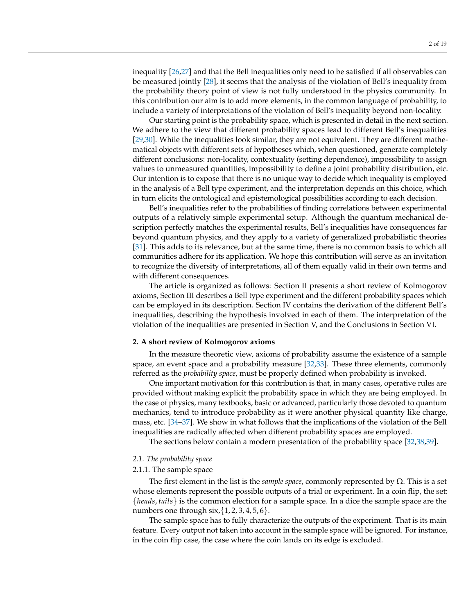inequality [\[26,](#page-16-8)[27\]](#page-16-9) and that the Bell inequalities only need to be satisfied if all observables can be measured jointly [\[28\]](#page-16-10), it seems that the analysis of the violation of Bell's inequality from the probability theory point of view is not fully understood in the physics community. In this contribution our aim is to add more elements, in the common language of probability, to include a variety of interpretations of the violation of Bell's inequality beyond non-locality.

Our starting point is the probability space, which is presented in detail in the next section. We adhere to the view that different probability spaces lead to different Bell's inequalities [\[29](#page-16-11)[,30\]](#page-16-12). While the inequalities look similar, they are not equivalent. They are different mathematical objects with different sets of hypotheses which, when questioned, generate completely different conclusions: non-locality, contextuality (setting dependence), impossibility to assign values to unmeasured quantities, impossibility to define a joint probability distribution, etc. Our intention is to expose that there is no unique way to decide which inequality is employed in the analysis of a Bell type experiment, and the interpretation depends on this choice, which in turn elicits the ontological and epistemological possibilities according to each decision.

Bell's inequalities refer to the probabilities of finding correlations between experimental outputs of a relatively simple experimental setup. Although the quantum mechanical description perfectly matches the experimental results, Bell's inequalities have consequences far beyond quantum physics, and they apply to a variety of generalized probabilistic theories [\[31\]](#page-16-13). This adds to its relevance, but at the same time, there is no common basis to which all communities adhere for its application. We hope this contribution will serve as an invitation to recognize the diversity of interpretations, all of them equally valid in their own terms and with different consequences.

The article is organized as follows: Section II presents a short review of Kolmogorov axioms, Section III describes a Bell type experiment and the different probability spaces which can be employed in its description. Section IV contains the derivation of the different Bell's inequalities, describing the hypothesis involved in each of them. The interpretation of the violation of the inequalities are presented in Section V, and the Conclusions in Section VI.

#### **2. A short review of Kolmogorov axioms**

In the measure theoretic view, axioms of probability assume the existence of a sample space, an event space and a probability measure [\[32](#page-16-14)[,33\]](#page-16-15). These three elements, commonly referred as the *probability space*, must be properly defined when probability is invoked.

One important motivation for this contribution is that, in many cases, operative rules are provided without making explicit the probability space in which they are being employed. In the case of physics, many textbooks, basic or advanced, particularly those devoted to quantum mechanics, tend to introduce probability as it were another physical quantity like charge, mass, etc. [\[34–](#page-16-16)[37\]](#page-16-17). We show in what follows that the implications of the violation of the Bell inequalities are radically affected when different probability spaces are employed.

The sections below contain a modern presentation of the probability space [\[32,](#page-16-14)[38,](#page-16-18)[39\]](#page-16-19).

### *2.1. The probability space*

### 2.1.1. The sample space

The first element in the list is the *sample space*, commonly represented by Ω. This is a set whose elements represent the possible outputs of a trial or experiment. In a coin flip, the set: {*heads*, *tails*} is the common election for a sample space. In a dice the sample space are the numbers one through  $\text{six}, \{1, 2, 3, 4, 5, 6\}.$ 

The sample space has to fully characterize the outputs of the experiment. That is its main feature. Every output not taken into account in the sample space will be ignored. For instance, in the coin flip case, the case where the coin lands on its edge is excluded.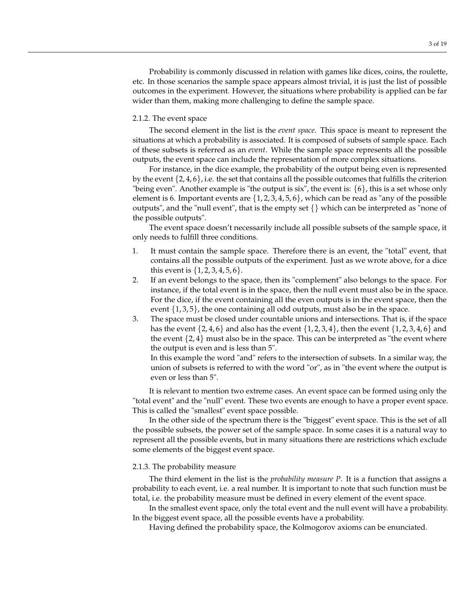Probability is commonly discussed in relation with games like dices, coins, the roulette, etc. In those scenarios the sample space appears almost trivial, it is just the list of possible outcomes in the experiment. However, the situations where probability is applied can be far wider than them, making more challenging to define the sample space.

### 2.1.2. The event space

The second element in the list is the *event space*. This space is meant to represent the situations at which a probability is associated. It is composed of subsets of sample space. Each of these subsets is referred as an *event*. While the sample space represents all the possible outputs, the event space can include the representation of more complex situations.

For instance, in the dice example, the probability of the output being even is represented by the event  $\{2, 4, 6\}$ , i.e. the set that contains all the possible outcomes that fulfills the criterion "being even". Another example is "the output is six", the event is:  $\{6\}$ , this is a set whose only element is 6. Important events are  $\{1, 2, 3, 4, 5, 6\}$ , which can be read as "any of the possible outputs", and the "null event", that is the empty set  $\{\}\$  which can be interpreted as "none of the possible outputs".

The event space doesn't necessarily include all possible subsets of the sample space, it only needs to fulfill three conditions.

- 1. It must contain the sample space. Therefore there is an event, the "total" event, that contains all the possible outputs of the experiment. Just as we wrote above, for a dice this event is  $\{1, 2, 3, 4, 5, 6\}.$
- 2. If an event belongs to the space, then its "complement" also belongs to the space. For instance, if the total event is in the space, then the null event must also be in the space. For the dice, if the event containing all the even outputs is in the event space, then the event {1, 3, 5}, the one containing all odd outputs, must also be in the space.
- 3. The space must be closed under countable unions and intersections. That is, if the space has the event  $\{2, 4, 6\}$  and also has the event  $\{1, 2, 3, 4\}$ , then the event  $\{1, 2, 3, 4, 6\}$  and the event  $\{2, 4\}$  must also be in the space. This can be interpreted as "the event where the output is even and is less than 5".

In this example the word "and" refers to the intersection of subsets. In a similar way, the union of subsets is referred to with the word "or", as in "the event where the output is even or less than 5".

It is relevant to mention two extreme cases. An event space can be formed using only the "total event" and the "null" event. These two events are enough to have a proper event space. This is called the "smallest" event space possible.

In the other side of the spectrum there is the "biggest" event space. This is the set of all the possible subsets, the power set of the sample space. In some cases it is a natural way to represent all the possible events, but in many situations there are restrictions which exclude some elements of the biggest event space.

### 2.1.3. The probability measure

The third element in the list is the *probability measure P*. It is a function that assigns a probability to each event, i.e. a real number. It is important to note that such function must be total, i.e. the probability measure must be defined in every element of the event space.

In the smallest event space, only the total event and the null event will have a probability. In the biggest event space, all the possible events have a probability.

Having defined the probability space, the Kolmogorov axioms can be enunciated.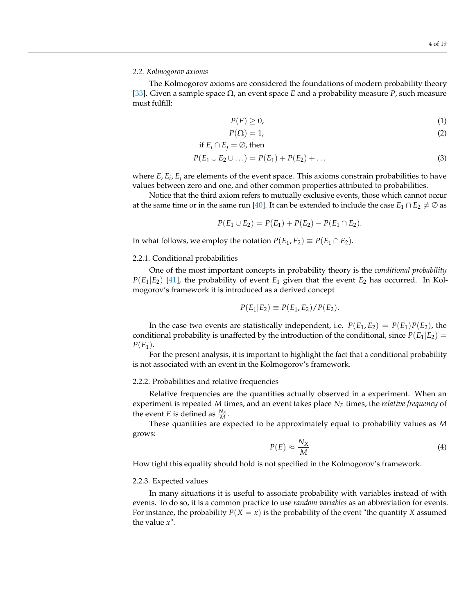# *2.2. Kolmogorov axioms*

The Kolmogorov axioms are considered the foundations of modern probability theory [\[33\]](#page-16-15). Given a sample space Ω, an event space *E* and a probability measure *P*, such measure must fulfill:

<span id="page-3-1"></span>
$$
P(E) \geq 0,\tag{1}
$$

$$
P(\Omega) = 1,\tag{2}
$$

if 
$$
E_i \cap E_j = \emptyset
$$
, then

$$
P(E_1 \cup E_2 \cup \ldots) = P(E_1) + P(E_2) + \ldots \tag{3}
$$

where *E*, *E<sup>i</sup>* , *E<sup>j</sup>* are elements of the event space. This axioms constrain probabilities to have values between zero and one, and other common properties attributed to probabilities.

Notice that the third axiom refers to mutually exclusive events, those which cannot occur at the same time or in the same run [\[40\]](#page-16-20). It can be extended to include the case  $E_1 \cap E_2 \neq \emptyset$  as

$$
P(E_1 \cup E_2) = P(E_1) + P(E_2) - P(E_1 \cap E_2).
$$

In what follows, we employ the notation  $P(E_1, E_2) \equiv P(E_1 \cap E_2)$ .

### 2.2.1. Conditional probabilities

One of the most important concepts in probability theory is the *conditional probability*  $P(E_1|E_2)$  [\[41\]](#page-16-21), the probability of event  $E_1$  given that the event  $E_2$  has occurred. In Kolmogorov's framework it is introduced as a derived concept

$$
P(E_1|E_2) \equiv P(E_1, E_2) / P(E_2).
$$

In the case two events are statistically independent, i.e.  $P(E_1, E_2) = P(E_1)P(E_2)$ , the conditional probability is unaffected by the introduction of the conditional, since  $P(E_1|E_2)$  =  $P(E_1)$ .

For the present analysis, it is important to highlight the fact that a conditional probability is not associated with an event in the Kolmogorov's framework.

#### 2.2.2. Probabilities and relative frequencies

Relative frequencies are the quantities actually observed in a experiment. When an experiment is repeated *M* times, and an event takes place *N<sup>E</sup>* times, the *relative frequency* of the event *E* is defined as  $\frac{N_E}{M}$ .

These quantities are expected to be approximately equal to probability values as *M* grows:

$$
P(E) \approx \frac{N_X}{M} \tag{4}
$$

How tight this equality should hold is not specified in the Kolmogorov's framework.

# <span id="page-3-0"></span>2.2.3. Expected values

In many situations it is useful to associate probability with variables instead of with events. To do so, it is a common practice to use *random variables* as an abbreviation for events. For instance, the probability  $P(X = x)$  is the probability of the event "the quantity X assumed" the value *x*".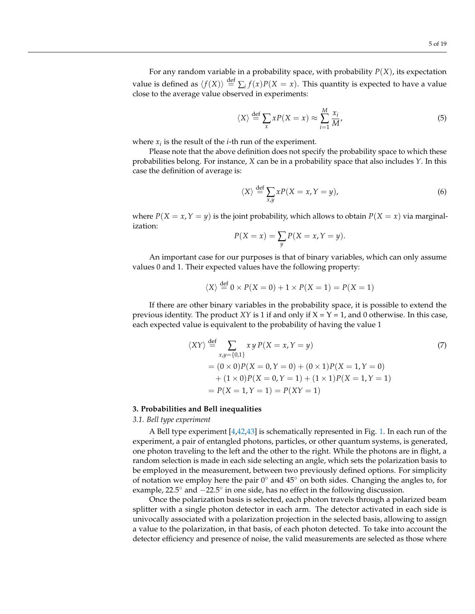For any random variable in a probability space, with probability *P*(*X*), its expectation value is defined as  $\langle f(X) \rangle \stackrel{\text{def}}{=} \sum_i f(x)P(X=x)$ . This quantity is expected to have a value close to the average value observed in experiments:

$$
\langle X \rangle \stackrel{\text{def}}{=} \sum_{x} x P(X = x) \approx \sum_{i=1}^{M} \frac{x_i}{M'},\tag{5}
$$

where  $x_i$  is the result of the *i*-th run of the experiment.

Please note that the above definition does not specify the probability space to which these probabilities belong. For instance, *X* can be in a probability space that also includes *Y*. In this case the definition of average is:

$$
\langle X \rangle \stackrel{\text{def}}{=} \sum_{x,y} xP(X = x, Y = y), \tag{6}
$$

where  $P(X = x, Y = y)$  is the joint probability, which allows to obtain  $P(X = x)$  via marginalization:

$$
P(X = x) = \sum_{y} P(X = x, Y = y).
$$

An important case for our purposes is that of binary variables, which can only assume values 0 and 1. Their expected values have the following property:

$$
\langle X \rangle \stackrel{\text{def}}{=} 0 \times P(X = 0) + 1 \times P(X = 1) = P(X = 1)
$$

If there are other binary variables in the probability space, it is possible to extend the previous identity. The product *XY* is 1 if and only if  $X = Y = 1$ , and 0 otherwise. In this case, each expected value is equivalent to the probability of having the value 1

$$
\langle XY \rangle \stackrel{\text{def}}{=} \sum_{x,y=\{0,1\}} xy \, P(X=x, Y=y) \tag{7}
$$
\n
$$
= (0 \times 0)P(X=0, Y=0) + (0 \times 1)P(X=1, Y=0) \\
+ (1 \times 0)P(X=0, Y=1) + (1 \times 1)P(X=1, Y=1) \\
= P(X=1, Y=1) = P(XY=1)
$$

### **3. Probabilities and Bell inequalities**

*3.1. Bell type experiment*

A Bell type experiment [\[4](#page-15-3)[,42](#page-16-22)[,43\]](#page-16-23) is schematically represented in Fig. [1.](#page-5-0) In each run of the experiment, a pair of entangled photons, particles, or other quantum systems, is generated, one photon traveling to the left and the other to the right. While the photons are in flight, a random selection is made in each side selecting an angle, which sets the polarization basis to be employed in the measurement, between two previously defined options. For simplicity of notation we employ here the pair  $0^{\circ}$  and  $45^{\circ}$  on both sides. Changing the angles to, for example, 22.5◦ and −22.5◦ in one side, has no effect in the following discussion.

Once the polarization basis is selected, each photon travels through a polarized beam splitter with a single photon detector in each arm. The detector activated in each side is univocally associated with a polarization projection in the selected basis, allowing to assign a value to the polarization, in that basis, of each photon detected. To take into account the detector efficiency and presence of noise, the valid measurements are selected as those where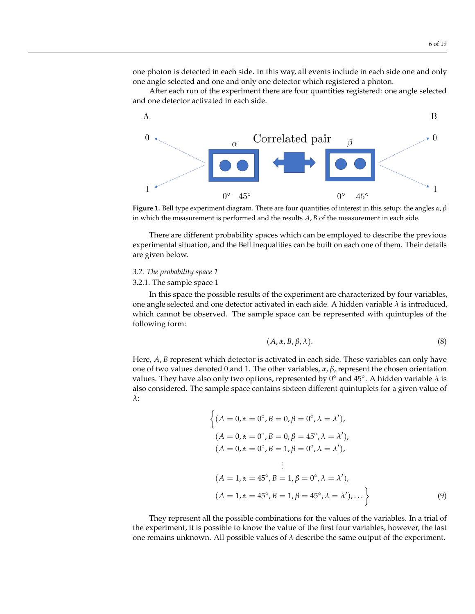one photon is detected in each side. In this way, all events include in each side one and only one angle selected and one and only one detector which registered a photon.

After each run of the experiment there are four quantities registered: one angle selected and one detector activated in each side.

<span id="page-5-0"></span>



There are different probability spaces which can be employed to describe the previous experimental situation, and the Bell inequalities can be built on each one of them. Their details are given below.

### *3.2. The probability space 1*

### 3.2.1. The sample space 1

In this space the possible results of the experiment are characterized by four variables, one angle selected and one detector activated in each side. A hidden variable *λ* is introduced, which cannot be observed. The sample space can be represented with quintuples of the following form:

<span id="page-5-1"></span>
$$
(A, \alpha, B, \beta, \lambda). \tag{8}
$$

Here, *A*, *B* represent which detector is activated in each side. These variables can only have one of two values denoted 0 and 1. The other variables, *α*, *β*, represent the chosen orientation values. They have also only two options, represented by  $0^{\circ}$  and  $45^{\circ}$ . A hidden variable  $\lambda$  is also considered. The sample space contains sixteen different quintuplets for a given value of *λ*:

$$
\left\{ (A = 0, \alpha = 0^{\circ}, B = 0, \beta = 0^{\circ}, \lambda = \lambda'),
$$
  
\n
$$
(A = 0, \alpha = 0^{\circ}, B = 0, \beta = 45^{\circ}, \lambda = \lambda'),
$$
  
\n
$$
(A = 0, \alpha = 0^{\circ}, B = 1, \beta = 0^{\circ}, \lambda = \lambda'),
$$
  
\n
$$
\vdots
$$
  
\n
$$
(A = 1, \alpha = 45^{\circ}, B = 1, \beta = 0^{\circ}, \lambda = \lambda'),
$$
  
\n
$$
(A = 1, \alpha = 45^{\circ}, B = 1, \beta = 45^{\circ}, \lambda = \lambda'), \dots \right\}
$$
  
\n(9)

They represent all the possible combinations for the values of the variables. In a trial of the experiment, it is possible to know the value of the first four variables, however, the last one remains unknown. All possible values of  $\lambda$  describe the same output of the experiment.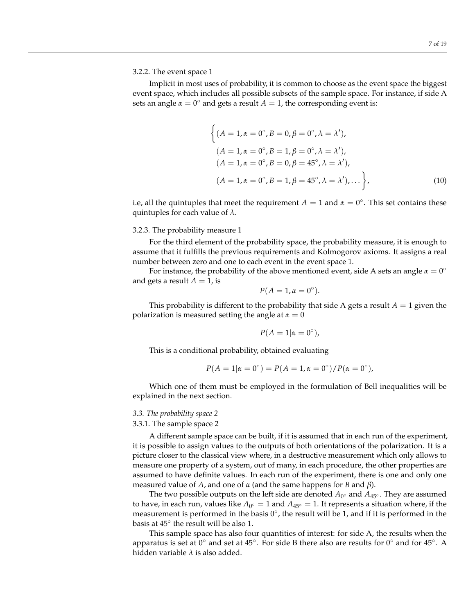# 3.2.2. The event space 1

Implicit in most uses of probability, it is common to choose as the event space the biggest event space, which includes all possible subsets of the sample space. For instance, if side A sets an angle  $\alpha = 0^{\circ}$  and gets a result  $A = 1$ , the corresponding event is:

$$
\begin{cases}\n(A = 1, \alpha = 0^{\circ}, B = 0, \beta = 0^{\circ}, \lambda = \lambda'), \\
(A = 1, \alpha = 0^{\circ}, B = 1, \beta = 0^{\circ}, \lambda = \lambda'), \\
(A = 1, \alpha = 0^{\circ}, B = 0, \beta = 45^{\circ}, \lambda = \lambda'), \\
(A = 1, \alpha = 0^{\circ}, B = 1, \beta = 45^{\circ}, \lambda = \lambda'), \dots \bigg\},\n\end{cases}
$$
\n(10)

i.e, all the quintuples that meet the requirement  $A = 1$  and  $\alpha = 0^{\circ}$ . This set contains these quintuples for each value of *λ*.

### 3.2.3. The probability measure 1

For the third element of the probability space, the probability measure, it is enough to assume that it fulfills the previous requirements and Kolmogorov axioms. It assigns a real number between zero and one to each event in the event space 1.

For instance, the probability of the above mentioned event, side A sets an angle  $\alpha = 0^{\circ}$ and gets a result  $A = 1$ , is

$$
P(A=1,\alpha=0^{\circ}).
$$

This probability is different to the probability that side A gets a result  $A = 1$  given the polarization is measured setting the angle at  $\alpha = 0$ 

$$
P(A=1|\alpha=0^{\circ}),
$$

This is a conditional probability, obtained evaluating

$$
P(A = 1 | \alpha = 0^{\circ}) = P(A = 1, \alpha = 0^{\circ}) / P(\alpha = 0^{\circ}),
$$

Which one of them must be employed in the formulation of Bell inequalities will be explained in the next section.

#### *3.3. The probability space 2*

# 3.3.1. The sample space 2

A different sample space can be built, if it is assumed that in each run of the experiment, it is possible to assign values to the outputs of both orientations of the polarization. It is a picture closer to the classical view where, in a destructive measurement which only allows to measure one property of a system, out of many, in each procedure, the other properties are assumed to have definite values. In each run of the experiment, there is one and only one measured value of *A*, and one of *α* (and the same happens for *B* and *β*).

The two possible outputs on the left side are denoted  $A_{0^{\circ}}$  and  $A_{45^{\circ}}$ . They are assumed to have, in each run, values like  $A_{0^{\circ}} = 1$  and  $A_{45^{\circ}} = 1$ . It represents a situation where, if the measurement is performed in the basis  $0^{\circ}$ , the result will be 1, and if it is performed in the basis at  $45^{\circ}$  the result will be also 1.

This sample space has also four quantities of interest: for side A, the results when the apparatus is set at  $0^{\circ}$  and set at  $45^{\circ}$ . For side B there also are results for  $0^{\circ}$  and for  $45^{\circ}$ . A hidden variable *λ* is also added.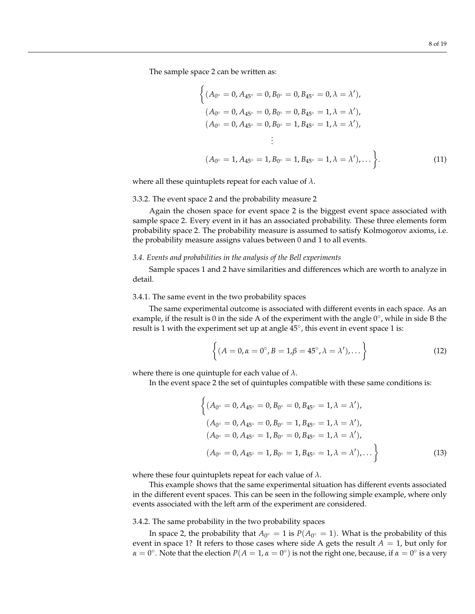The sample space 2 can be written as:

$$
\begin{aligned}\n\left\{ (A_{0^{\circ}} = 0, A_{45^{\circ}} = 0, B_{0^{\circ}} = 0, B_{45^{\circ}} = 0, \lambda = \lambda'), \\
(A_{0^{\circ}} = 0, A_{45^{\circ}} = 0, B_{0^{\circ}} = 0, B_{45^{\circ}} = 1, \lambda = \lambda'), \\
(A_{0^{\circ}} = 0, A_{45^{\circ}} = 0, B_{0^{\circ}} = 1, B_{45^{\circ}} = 1, \lambda = \lambda'), \\
\vdots \\
(A_{0^{\circ}} = 1, A_{45^{\circ}} = 1, B_{0^{\circ}} = 1, B_{45^{\circ}} = 1, \lambda = \lambda'), \dots \right\}.\n\end{aligned} \tag{11}
$$

where all these quintuplets repeat for each value of *λ*.

## 3.3.2. The event space 2 and the probability measure 2

Again the chosen space for event space 2 is the biggest event space associated with sample space 2. Every event in it has an associated probability. These three elements form probability space 2. The probability measure is assumed to satisfy Kolmogorov axioms, i.e. the probability measure assigns values between 0 and 1 to all events.

### *3.4. Events and probabilities in the analysis of the Bell experiments*

Sample spaces 1 and 2 have similarities and differences which are worth to analyze in detail.

### 3.4.1. The same event in the two probability spaces

The same experimental outcome is associated with different events in each space. As an example, if the result is 0 in the side A of the experiment with the angle  $0^{\circ}$ , while in side B the result is 1 with the experiment set up at angle 45°, this event in event space 1 is:

$$
\left\{ (A = 0, \alpha = 0^\circ, B = 1, \beta = 45^\circ, \lambda = \lambda'), \dots \right\}
$$
 (12)

where there is one quintuple for each value of *λ*.

In the event space 2 the set of quintuples compatible with these same conditions is:

$$
\begin{cases}\n(A_{0^{\circ}} = 0, A_{45^{\circ}} = 0, B_{0^{\circ}} = 0, B_{45^{\circ}} = 1, \lambda = \lambda'),\n(A_{0^{\circ}} = 0, A_{45^{\circ}} = 0, B_{0^{\circ}} = 1, B_{45^{\circ}} = 1, \lambda = \lambda'),\n(A_{0^{\circ}} = 0, A_{45^{\circ}} = 1, B_{0^{\circ}} = 0, B_{45^{\circ}} = 1, \lambda = \lambda'),\n(A_{0^{\circ}} = 0, A_{45^{\circ}} = 1, B_{0^{\circ}} = 1, B_{45^{\circ}} = 1, \lambda = \lambda'),\dots \n\end{cases}
$$
\n(13)

where these four quintuplets repeat for each value of *λ*.

This example shows that the same experimental situation has different events associated in the different event spaces. This can be seen in the following simple example, where only events associated with the left arm of the experiment are considered.

### <span id="page-7-0"></span>3.4.2. The same probability in the two probability spaces

In space 2, the probability that  $A_{0^{\circ}} = 1$  is  $P(A_{0^{\circ}} = 1)$ . What is the probability of this event in space 1? It refers to those cases where side A gets the result  $A = 1$ , but only for  $\alpha = 0^{\circ}$ . Note that the election  $P(A = 1, \alpha = 0^{\circ})$  is not the right one, because, if  $\alpha = 0^{\circ}$  is a very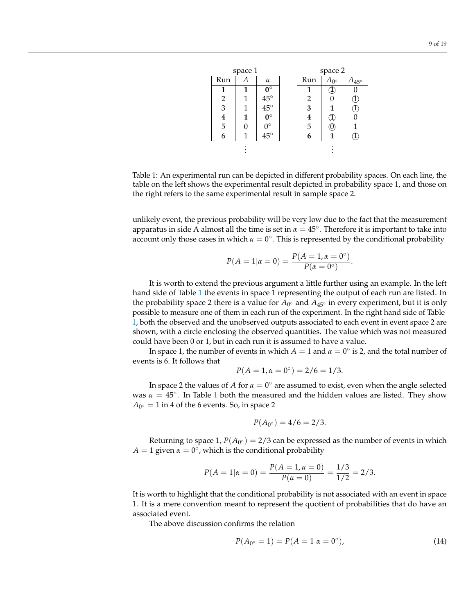<span id="page-8-0"></span>

| space 1 |              |            | space 2 |                 |                |
|---------|--------------|------------|---------|-----------------|----------------|
|         | $\alpha$     |            | Run     | $A_{0^{\circ}}$ | $A_{45^\circ}$ |
| 1       | $0^{\circ}$  |            |         | T               |                |
| 1       |              |            | 2       | 0               | $\mathbf{I}$   |
| 1       | $45^{\circ}$ |            | 3       |                 | μ.             |
| 1       | $0^\circ$    |            | 4       | д               |                |
| O       | $0^{\circ}$  |            |         | U               |                |
| 1       | $45^{\circ}$ |            |         |                 |                |
|         |              |            |         |                 |                |
|         |              | $45^\circ$ |         | $\frac{5}{6}$   |                |

Table 1: An experimental run can be depicted in different probability spaces. On each line, the table on the left shows the experimental result depicted in probability space 1, and those on the right refers to the same experimental result in sample space 2.

unlikely event, the previous probability will be very low due to the fact that the measurement apparatus in side A almost all the time is set in  $\alpha = 45^{\circ}$ . Therefore it is important to take into account only those cases in which  $\alpha = 0^{\circ}$ . This is represented by the conditional probability

$$
P(A = 1 | \alpha = 0) = \frac{P(A = 1, \alpha = 0^{\circ})}{P(\alpha = 0^{\circ})}.
$$

It is worth to extend the previous argument a little further using an example. In the left hand side of Table [1](#page-8-0) the events in space 1 representing the output of each run are listed. In the probability space 2 there is a value for *A*<sup>0</sup> ◦ and *A*45◦ in every experiment, but it is only possible to measure one of them in each run of the experiment. In the right hand side of Table [1,](#page-8-0) both the observed and the unobserved outputs associated to each event in event space 2 are shown, with a circle enclosing the observed quantities. The value which was not measured could have been 0 or 1, but in each run it is assumed to have a value.

In space 1, the number of events in which  $A = 1$  and  $\alpha = 0^{\circ}$  is 2, and the total number of events is 6. It follows that

$$
P(A = 1, \alpha = 0^{\circ}) = 2/6 = 1/3.
$$

In space 2 the values of *A* for  $\alpha = 0^{\circ}$  are assumed to exist, even when the angle selected was  $\alpha = 45^\circ$ . In Table [1](#page-8-0) both the measured and the hidden values are listed. They show  $A_{0^{\circ}} = 1$  in 4 of the 6 events. So, in space 2

$$
P(A_{0^{\circ}}) = 4/6 = 2/3.
$$

Returning to space 1,  $P(A_{0^{\circ}}) = 2/3$  can be expressed as the number of events in which  $A = 1$  given  $\alpha = 0^{\circ}$ , which is the conditional probability

$$
P(A = 1 | \alpha = 0) = \frac{P(A = 1, \alpha = 0)}{P(\alpha = 0)} = \frac{1/3}{1/2} = 2/3.
$$

It is worth to highlight that the conditional probability is not associated with an event in space 1. It is a mere convention meant to represent the quotient of probabilities that do have an associated event.

The above discussion confirms the relation

$$
P(A_{0^{\circ}} = 1) = P(A = 1 | \alpha = 0^{\circ}), \tag{14}
$$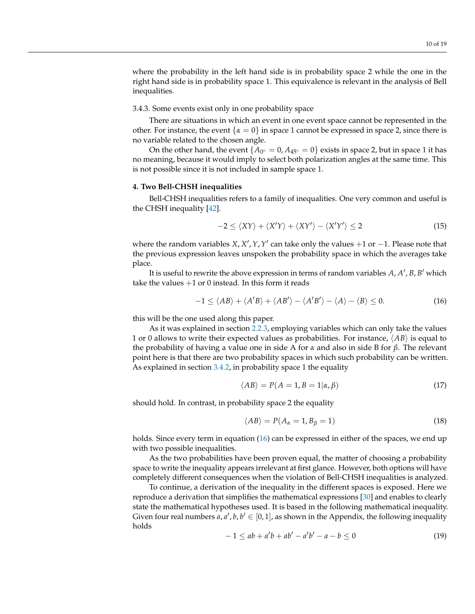where the probability in the left hand side is in probability space 2 while the one in the right hand side is in probability space 1. This equivalence is relevant in the analysis of Bell inequalities.

### 3.4.3. Some events exist only in one probability space

There are situations in which an event in one event space cannot be represented in the other. For instance, the event  $\{\alpha = 0\}$  in space 1 cannot be expressed in space 2, since there is no variable related to the chosen angle.

On the other hand, the event  $\{A_{0^{\circ}} = 0, A_{45^{\circ}} = 0\}$  exists in space 2, but in space 1 it has no meaning, because it would imply to select both polarization angles at the same time. This is not possible since it is not included in sample space 1.

# **4. Two Bell-CHSH inequalities**

Bell-CHSH inequalities refers to a family of inequalities. One very common and useful is the CHSH inequality [\[42\]](#page-16-22).

$$
-2 \leq \langle XY \rangle + \langle X'Y \rangle + \langle XY' \rangle - \langle X'Y' \rangle \leq 2 \tag{15}
$$

where the random variables  $X$ ,  $X'$ ,  $Y$ ,  $Y'$  can take only the values  $+1$  or  $-1$ . Please note that the previous expression leaves unspoken the probability space in which the averages take place.

It is useful to rewrite the above expression in terms of random variables  $A$ ,  $A'$ ,  $B$ ,  $B'$  which take the values  $+1$  or 0 instead. In this form it reads

$$
-1 \le \langle AB \rangle + \langle A'B \rangle + \langle AB' \rangle - \langle A'B' \rangle - \langle A \rangle - \langle B \rangle \le 0. \tag{16}
$$

this will be the one used along this paper.

As it was explained in section [2.2.3,](#page-3-0) employing variables which can only take the values 1 or 0 allows to write their expected values as probabilities. For instance,  $\langle AB \rangle$  is equal to the probability of having a value one in side A for *α* and also in side B for *β*. The relevant point here is that there are two probability spaces in which such probability can be written. As explained in section [3.4.2,](#page-7-0) in probability space 1 the equality

<span id="page-9-0"></span>
$$
\langle AB \rangle = P(A = 1, B = 1 | \alpha, \beta) \tag{17}
$$

should hold. In contrast, in probability space 2 the equality

$$
\langle AB \rangle = P(A_{\alpha} = 1, B_{\beta} = 1) \tag{18}
$$

holds. Since every term in equation [\(16\)](#page-9-0) can be expressed in either of the spaces, we end up with two possible inequalities.

As the two probabilities have been proven equal, the matter of choosing a probability space to write the inequality appears irrelevant at first glance. However, both options will have completely different consequences when the violation of Bell-CHSH inequalities is analyzed.

To continue, a derivation of the inequality in the different spaces is exposed. Here we reproduce a derivation that simplifies the mathematical expressions [\[30\]](#page-16-12) and enables to clearly state the mathematical hypotheses used. It is based in the following mathematical inequality. Given four real numbers  $a, a', b, b' \in [0, 1]$ , as shown in the Appendix, the following inequality holds

<span id="page-9-1"></span>
$$
-1 \le ab + a'b + ab' - a'b' - a - b \le 0 \tag{19}
$$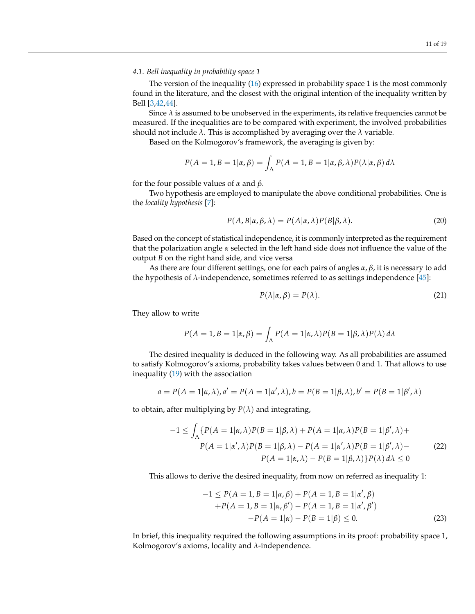# *4.1. Bell inequality in probability space 1*

The version of the inequality [\(16\)](#page-9-0) expressed in probability space 1 is the most commonly found in the literature, and the closest with the original intention of the inequality written by Bell [\[3,](#page-15-2)[42,](#page-16-22)[44\]](#page-17-0).

Since  $\lambda$  is assumed to be unobserved in the experiments, its relative frequencies cannot be measured. If the inequalities are to be compared with experiment, the involved probabilities should not include  $\lambda$ . This is accomplished by averaging over the  $\lambda$  variable.

Based on the Kolmogorov's framework, the averaging is given by:

$$
P(A = 1, B = 1 | \alpha, \beta) = \int_{\Lambda} P(A = 1, B = 1 | \alpha, \beta, \lambda) P(\lambda | \alpha, \beta) d\lambda
$$

for the four possible values of *α* and *β*.

Two hypothesis are employed to manipulate the above conditional probabilities. One is the *locality hypothesis* [\[7\]](#page-15-6):

$$
P(A, B|\alpha, \beta, \lambda) = P(A|\alpha, \lambda)P(B|\beta, \lambda).
$$
 (20)

Based on the concept of statistical independence, it is commonly interpreted as the requirement that the polarization angle *α* selected in the left hand side does not influence the value of the output *B* on the right hand side, and vice versa

As there are four different settings, one for each pairs of angles *α*, *β*, it is necessary to add the hypothesis of  $\lambda$ -independence, sometimes referred to as settings independence [\[45\]](#page-17-1):

$$
P(\lambda|\alpha,\beta) = P(\lambda). \tag{21}
$$

They allow to write

$$
P(A = 1, B = 1 | \alpha, \beta) = \int_{\Lambda} P(A = 1 | \alpha, \lambda) P(B = 1 | \beta, \lambda) P(\lambda) d\lambda
$$

The desired inequality is deduced in the following way. As all probabilities are assumed to satisfy Kolmogorov's axioms, probability takes values between 0 and 1. That allows to use inequality  $(19)$  with the association

$$
a = P(A = 1 | \alpha, \lambda), a' = P(A = 1 | \alpha', \lambda), b = P(B = 1 | \beta, \lambda), b' = P(B = 1 | \beta', \lambda)
$$

to obtain, after multiplying by  $P(\lambda)$  and integrating,

$$
-1 \leq \int_{\Lambda} \{ P(A=1|\alpha,\lambda)P(B=1|\beta,\lambda) + P(A=1|\alpha,\lambda)P(B=1|\beta',\lambda) + P(A=1|\alpha',\lambda)P(B=1|\beta',\lambda) - P(A=1|\alpha',\lambda)P(B=1|\beta',\lambda) - P(A=1|\alpha,\lambda) - P(B=1|\beta,\lambda) \} P(\lambda) d\lambda \leq 0
$$
\n(22)

This allows to derive the desired inequality, from now on referred as inequality 1:

$$
-1 \le P(A = 1, B = 1 | \alpha, \beta) + P(A = 1, B = 1 | \alpha', \beta)
$$
  
+P(A = 1, B = 1 | \alpha, \beta') - P(A = 1, B = 1 | \alpha', \beta')  
-P(A = 1 | \alpha) - P(B = 1 | \beta) \le 0. (23)

In brief, this inequality required the following assumptions in its proof: probability space 1, Kolmogorov's axioms, locality and *λ*-independence.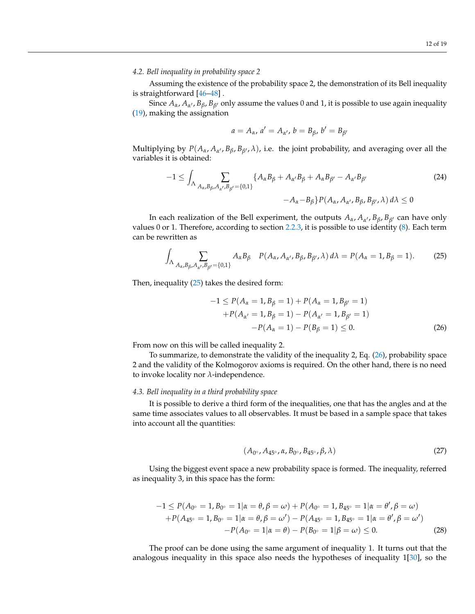# *4.2. Bell inequality in probability space 2*

Assuming the existence of the probability space 2, the demonstration of its Bell inequality is straightforward [\[46](#page-17-2)[–48\]](#page-17-3) .

Since  $A_\alpha$ ,  $A_{\alpha'}$ ,  $B_\beta$ ,  $B_{\beta'}$  only assume the values 0 and 1, it is possible to use again inequality [\(19\)](#page-9-1), making the assignation

$$
a=A_{\alpha}, a'=A_{\alpha'}, b=B_{\beta}, b'=B_{\beta'}
$$

Multiplying by  $P(A_\alpha, A_{\alpha'}, B_\beta, B_{\beta'}, \lambda)$ , i.e. the joint probability, and averaging over all the variables it is obtained:

$$
-1 \leq \int_{\Lambda} \sum_{A_{\alpha}, B_{\beta}, A_{\alpha'}, B_{\beta'} = \{0, 1\}} \{A_{\alpha}B_{\beta} + A_{\alpha'}B_{\beta} + A_{\alpha}B_{\beta'} - A_{\alpha'}B_{\beta'} - A_{\alpha'}B_{\beta'} - A_{\alpha} - B_{\beta}\} P(A_{\alpha}, A_{\alpha'}, B_{\beta}, B_{\beta'}, \lambda) d\lambda \leq 0
$$
\n
$$
(24)
$$

In each realization of the Bell experiment, the outputs *Aα*, *A<sup>α</sup>* <sup>0</sup> , *Bβ*, *B<sup>β</sup>* <sup>0</sup> can have only values 0 or 1. Therefore, according to section [2.2.3,](#page-3-0) it is possible to use identity [\(8\)](#page-5-1). Each term can be rewritten as

$$
\int_{\Lambda} \sum_{A_{\alpha}, B_{\beta}, A_{\alpha'}, B_{\beta'} = \{0, 1\}} A_{\alpha} B_{\beta} \quad P(A_{\alpha}, A_{\alpha'}, B_{\beta}, B_{\beta'}, \lambda) d\lambda = P(A_{\alpha} = 1, B_{\beta} = 1).
$$
 (25)

Then, inequality [\(25\)](#page-11-0) takes the desired form:

<span id="page-11-1"></span><span id="page-11-0"></span>
$$
-1 \le P(A_{\alpha} = 1, B_{\beta} = 1) + P(A_{\alpha} = 1, B_{\beta'} = 1)
$$
  
+ $P(A_{\alpha'} = 1, B_{\beta} = 1) - P(A_{\alpha'} = 1, B_{\beta'} = 1)$   
- $P(A_{\alpha} = 1) - P(B_{\beta} = 1) \le 0.$  (26)

From now on this will be called inequality 2.

To summarize, to demonstrate the validity of the inequality 2, Eq. [\(26\)](#page-11-1), probability space 2 and the validity of the Kolmogorov axioms is required. On the other hand, there is no need to invoke locality nor *λ*-independence.

### *4.3. Bell inequality in a third probability space*

It is possible to derive a third form of the inequalities, one that has the angles and at the same time associates values to all observables. It must be based in a sample space that takes into account all the quantities:

$$
(A_{0^\circ}, A_{45^\circ}, \alpha, B_{0^\circ}, B_{45^\circ}, \beta, \lambda) \tag{27}
$$

Using the biggest event space a new probability space is formed. The inequality, referred as inequality 3, in this space has the form:

$$
-1 \le P(A_{0^{\circ}} = 1, B_{0^{\circ}} = 1 | \alpha = \theta, \beta = \omega) + P(A_{0^{\circ}} = 1, B_{45^{\circ}} = 1 | \alpha = \theta', \beta = \omega) + P(A_{45^{\circ}} = 1, B_{0^{\circ}} = 1 | \alpha = \theta, \beta = \omega') - P(A_{45^{\circ}} = 1, B_{45^{\circ}} = 1 | \alpha = \theta', \beta = \omega') - P(A_{0^{\circ}} = 1 | \alpha = \theta) - P(B_{0^{\circ}} = 1 | \beta = \omega) \le 0.
$$
 (28)

The proof can be done using the same argument of inequality 1. It turns out that the analogous inequality in this space also needs the hypotheses of inequality 1[\[30\]](#page-16-12), so the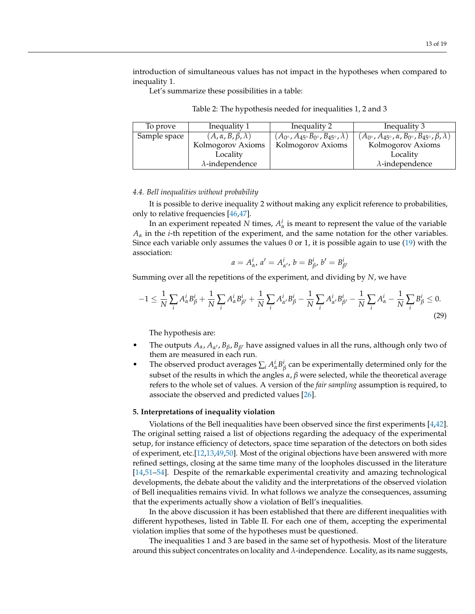introduction of simultaneous values has not impact in the hypotheses when compared to inequality 1.

<span id="page-12-0"></span>Let's summarize these possibilities in a table:

| Table 2: The hypothesis needed for inequalities 1, 2 and 3 |  |  |
|------------------------------------------------------------|--|--|
|                                                            |  |  |

| To prove     | Inequality 1                     | Inequality 2                                                | Inequality 3                                                                 |
|--------------|----------------------------------|-------------------------------------------------------------|------------------------------------------------------------------------------|
| Sample space | $(A, \alpha, B, \beta, \lambda)$ | $(A_{0\circ}, A_{45\circ}B_{0\circ}, B_{45\circ}, \lambda)$ | $(A_{0\circ}, A_{45\circ}, \alpha, B_{0\circ}, B_{45\circ}, \beta, \lambda)$ |
|              | Kolmogorov Axioms                | Kolmogorov Axioms                                           | Kolmogorov Axioms                                                            |
|              | Locality                         |                                                             | Locality                                                                     |
|              | $\lambda$ -independence          |                                                             | $\lambda$ -independence                                                      |

### *4.4. Bell inequalities without probability*

It is possible to derive inequality 2 without making any explicit reference to probabilities, only to relative frequencies [\[46](#page-17-2)[,47\]](#page-17-4).

In an experiment repeated *N* times,  $A^i_\alpha$  is meant to represent the value of the variable *A<sup>α</sup>* in the *i*-th repetition of the experiment, and the same notation for the other variables. Since each variable only assumes the values 0 or 1, it is possible again to use [\(19\)](#page-9-1) with the association:

$$
a = A^i_{\alpha}, \, a' = A^i_{\alpha'}, \, b = B^i_{\beta}, \, b' = B^i_{\beta'}
$$

Summing over all the repetitions of the experiment, and dividing by *N*, we have

$$
-1 \leq \frac{1}{N} \sum_{i} A_{\alpha}^{i} B_{\beta}^{i} + \frac{1}{N} \sum_{i} A_{\alpha}^{i} B_{\beta'}^{i} + \frac{1}{N} \sum_{i} A_{\alpha'}^{i} B_{\beta}^{i} - \frac{1}{N} \sum_{i} A_{\alpha'}^{i} B_{\beta'}^{i} - \frac{1}{N} \sum_{i} A_{\alpha}^{i} - \frac{1}{N} \sum_{i} B_{\beta}^{i} \leq 0.
$$
\n
$$
(29)
$$

The hypothesis are:

- The outputs  $A_{\alpha}$ ,  $A_{\alpha'}$ ,  $B_{\beta}$ ,  $B_{\beta'}$  have assigned values in all the runs, although only two of them are measured in each run.
- The observed product averages  $\sum_i A^i_\alpha B^i_\beta$  can be experimentally determined only for the subset of the results in which the angles  $\alpha$ ,  $\beta$  were selected, while the theoretical average refers to the whole set of values. A version of the *fair sampling* assumption is required, to associate the observed and predicted values [\[26\]](#page-16-8).

### **5. Interpretations of inequality violation**

Violations of the Bell inequalities have been observed since the first experiments [\[4](#page-15-3)[,42\]](#page-16-22). The original setting raised a list of objections regarding the adequacy of the experimental setup, for instance efficiency of detectors, space time separation of the detectors on both sides of experiment, etc.[\[12,](#page-15-12)[13,](#page-15-10)[49](#page-17-5)[,50\]](#page-17-6). Most of the original objections have been answered with more refined settings, closing at the same time many of the loopholes discussed in the literature [\[14](#page-15-11)[,51](#page-17-7)[–54\]](#page-17-8). Despite of the remarkable experimental creativity and amazing technological developments, the debate about the validity and the interpretations of the observed violation of Bell inequalities remains vivid. In what follows we analyze the consequences, assuming that the experiments actually show a violation of Bell's inequalities.

In the above discussion it has been established that there are different inequalities with different hypotheses, listed in Table II. For each one of them, accepting the experimental violation implies that some of the hypotheses must be questioned.

The inequalities 1 and 3 are based in the same set of hypothesis. Most of the literature around this subject concentrates on locality and *λ*-independence. Locality, as its name suggests,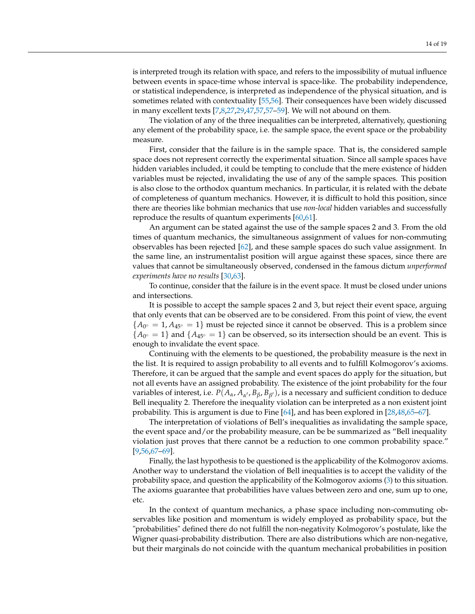is interpreted trough its relation with space, and refers to the impossibility of mutual influence between events in space-time whose interval is space-like. The probability independence, or statistical independence, is interpreted as independence of the physical situation, and is sometimes related with contextuality [\[55](#page-17-9)[,56\]](#page-17-10). Their consequences have been widely discussed in many excellent texts  $[7,8,27,29,47,57,57-59]$  $[7,8,27,29,47,57,57-59]$  $[7,8,27,29,47,57,57-59]$  $[7,8,27,29,47,57,57-59]$  $[7,8,27,29,47,57,57-59]$  $[7,8,27,29,47,57,57-59]$  $[7,8,27,29,47,57,57-59]$ . We will not abound on them.

The violation of any of the three inequalities can be interpreted, alternatively, questioning any element of the probability space, i.e. the sample space, the event space or the probability measure.

First, consider that the failure is in the sample space. That is, the considered sample space does not represent correctly the experimental situation. Since all sample spaces have hidden variables included, it could be tempting to conclude that the mere existence of hidden variables must be rejected, invalidating the use of any of the sample spaces. This position is also close to the orthodox quantum mechanics. In particular, it is related with the debate of completeness of quantum mechanics. However, it is difficult to hold this position, since there are theories like bohmian mechanics that use *non-local* hidden variables and successfully reproduce the results of quantum experiments  $[60,61]$  $[60,61]$ .

An argument can be stated against the use of the sample spaces 2 and 3. From the old times of quantum mechanics, the simultaneous assignment of values for non-commuting observables has been rejected [\[62\]](#page-17-15), and these sample spaces do such value assignment. In the same line, an instrumentalist position will argue against these spaces, since there are values that cannot be simultaneously observed, condensed in the famous dictum *unperformed experiments have no results* [\[30,](#page-16-12)[63\]](#page-17-16).

To continue, consider that the failure is in the event space. It must be closed under unions and intersections.

It is possible to accept the sample spaces 2 and 3, but reject their event space, arguing that only events that can be observed are to be considered. From this point of view, the event  ${A_{0} \circ = 1, A_{45} \circ = 1}$  must be rejected since it cannot be observed. This is a problem since  ${A_{0^{\circ}}} = 1$ } and  ${A_{45^{\circ}}} = 1$ } can be observed, so its intersection should be an event. This is enough to invalidate the event space.

Continuing with the elements to be questioned, the probability measure is the next in the list. It is required to assign probability to all events and to fulfill Kolmogorov's axioms. Therefore, it can be argued that the sample and event spaces do apply for the situation, but not all events have an assigned probability. The existence of the joint probability for the four variables of interest, i.e.  $P(A_\alpha, A_{\alpha'}, B_\beta, B_{\beta'})$ , is a necessary and sufficient condition to deduce Bell inequality 2. Therefore the inequality violation can be interpreted as a non existent joint probability. This is argument is due to Fine [\[64\]](#page-17-17), and has been explored in [\[28,](#page-16-10)[48,](#page-17-3)[65–](#page-17-18)[67\]](#page-17-19).

The interpretation of violations of Bell's inequalities as invalidating the sample space, the event space and/or the probability measure, can be be summarized as "Bell inequality violation just proves that there cannot be a reduction to one common probability space." [\[9](#page-15-8)[,56](#page-17-10)[,67](#page-17-19)[–69\]](#page-17-20).

Finally, the last hypothesis to be questioned is the applicability of the Kolmogorov axioms. Another way to understand the violation of Bell inequalities is to accept the validity of the probability space, and question the applicability of the Kolmogorov axioms [\(3\)](#page-3-1) to this situation. The axioms guarantee that probabilities have values between zero and one, sum up to one, etc.

In the context of quantum mechanics, a phase space including non-commuting observables like position and momentum is widely employed as probability space, but the "probabilities" defined there do not fulfill the non-negativity Kolmogorov's postulate, like the Wigner quasi-probability distribution. There are also distributions which are non-negative, but their marginals do not coincide with the quantum mechanical probabilities in position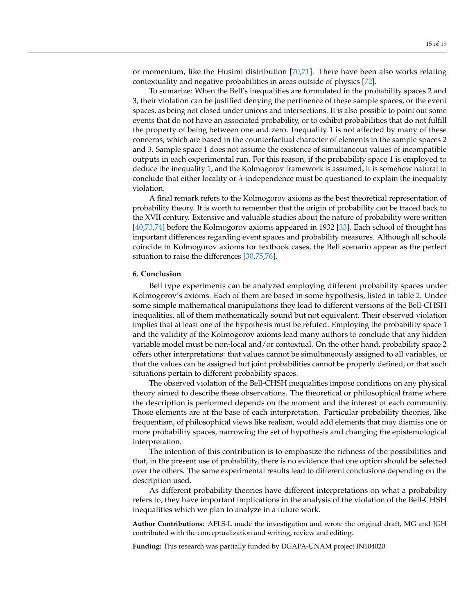or momentum, like the Husimi distribution [\[70,](#page-17-21)[71\]](#page-17-22). There have been also works relating contextuality and negative probabilities in areas outside of physics [\[72\]](#page-17-23).

To sumarize: When the Bell's inequalities are formulated in the probability spaces 2 and 3, their violation can be justified denying the pertinence of these sample spaces, or the event spaces, as being not closed under unions and intersections. It is also possible to point out some events that do not have an associated probability, or to exhibit probabilities that do not fulfill the property of being between one and zero. Inequality 1 is not affected by many of these concerns, which are based in the counterfactual character of elements in the sample spaces 2 and 3. Sample space 1 does not assume the existence of simultaneous values of incompatible outputs in each experimental run. For this reason, if the probability space 1 is employed to deduce the inequality 1, and the Kolmogorov framework is assumed, it is somehow natural to conclude that either locality or *λ*-independence must be questioned to explain the inequality violation.

A final remark refers to the Kolmogorov axioms as the best theoretical representation of probability theory. It is worth to remember that the origin of probability can be traced back to the XVII century. Extensive and valuable studies about the nature of probability were written [\[40](#page-16-20)[,73](#page-18-0)[,74\]](#page-18-1) before the Kolmogorov axioms appeared in 1932 [\[33\]](#page-16-15). Each school of thought has important differences regarding event spaces and probability measures. Although all schools coincide in Kolmogorov axioms for textbook cases, the Bell scenario appear as the perfect situation to raise the differences [\[30](#page-16-12)[,75](#page-18-2)[,76\]](#page-18-3).

### **6. Conclusion**

Bell type experiments can be analyzed employing different probability spaces under Kolmogorov's axioms. Each of them are based in some hypothesis, listed in table [2.](#page-12-0) Under some simple mathematical manipulations they lead to different versions of the Bell-CHSH inequalities, all of them mathematically sound but not equivalent. Their observed violation implies that at least one of the hypothesis must be refuted. Employing the probability space 1 and the validity of the Kolmogorov axioms lead many authors to conclude that any hidden variable model must be non-local and/or contextual. On the other hand, probability space 2 offers other interpretations: that values cannot be simultaneously assigned to all variables, or that the values can be assigned but joint probabilities cannot be properly defined, or that such situations pertain to different probability spaces.

The observed violation of the Bell-CHSH inequalities impose conditions on any physical theory aimed to describe these observations. The theoretical or philosophical frame where the description is performed depends on the moment and the interest of each community. Those elements are at the base of each interpretation. Particular probability theories, like frequentism, of philosophical views like realism, would add elements that may dismiss one or more probability spaces, narrowing the set of hypothesis and changing the epistemological interpretation.

The intention of this contribution is to emphasize the richness of the possibilities and that, in the present use of probability, there is no evidence that one option should be selected over the others. The same experimental results lead to different conclusions depending on the description used.

As different probability theories have different interpretations on what a probability refers to, they have important implications in the analysis of the violation of the Bell-CHSH inequalities which we plan to analyze in a future work.

**Author Contributions:** AFLS-L made the investigation and wrote the original draft, MG and JGH contributed with the conceptualization and writing, review and editing.

**Funding:** This research was partially funded by DGAPA-UNAM project IN104020.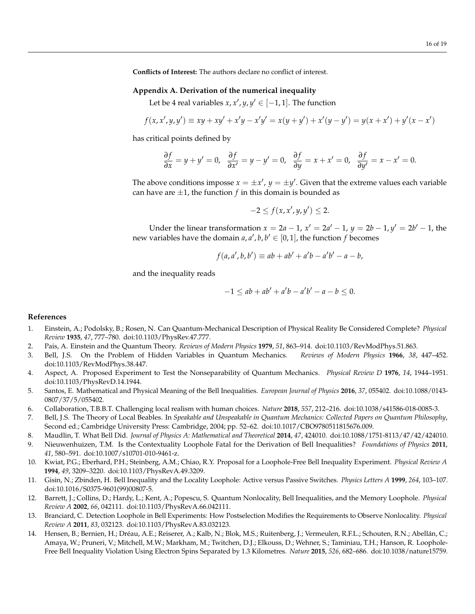**Conflicts of Interest:** The authors declare no conflict of interest.

### **Appendix A. Derivation of the numerical inequality**

Let be 4 real variables  $x$ ,  $x'$ ,  $y$ ,  $y' \in [-1, 1]$ . The function

$$
f(x, x', y, y') \equiv xy + xy' + x'y - x'y' = x(y + y') + x'(y - y') = y(x + x') + y'(x - x')
$$

has critical points defined by

$$
\frac{\partial f}{\partial x} = y + y' = 0, \quad \frac{\partial f}{\partial x'} = y - y' = 0, \quad \frac{\partial f}{\partial y} = x + x' = 0, \quad \frac{\partial f}{\partial y'} = x - x' = 0.
$$

The above conditions imposse  $x = \pm x'$ ,  $y = \pm y'$ . Given that the extreme values each variable can have are  $\pm 1$ , the function  $f$  in this domain is bounded as

$$
-2 \le f(x, x', y, y') \le 2.
$$

Under the linear transformation  $x = 2a - 1$ ,  $x' = 2a' - 1$ ,  $y = 2b - 1$ ,  $y' = 2b' - 1$ , the new variables have the domain  $a, a', b, b' \in [0, 1]$ , the function f becomes

$$
f(a, a', b, b') \equiv ab + ab' + a'b - a'b' - a - b,
$$

and the inequality reads

$$
-1 \le ab + ab' + a'b - a'b' - a - b \le 0.
$$

# **References**

- <span id="page-15-0"></span>1. Einstein, A.; Podolsky, B.; Rosen, N. Can Quantum-Mechanical Description of Physical Reality Be Considered Complete? *Physical Review* **1935**, *47*, 777–780. doi[:10.1103/PhysRev.47.777.](https://doi.org/10.1103/PhysRev.47.777)
- <span id="page-15-1"></span>2. Pais, A. Einstein and the Quantum Theory. *Reviews of Modern Physics* **1979**, *51*, 863–914. doi[:10.1103/RevModPhys.51.863.](https://doi.org/10.1103/RevModPhys.51.863)
- <span id="page-15-2"></span>3. Bell, J.S. On the Problem of Hidden Variables in Quantum Mechanics. *Reviews of Modern Physics* **1966**, *38*, 447–452. doi[:10.1103/RevModPhys.38.447.](https://doi.org/10.1103/RevModPhys.38.447)
- <span id="page-15-3"></span>4. Aspect, A. Proposed Experiment to Test the Nonseparability of Quantum Mechanics. *Physical Review D* **1976**, *14*, 1944–1951. doi[:10.1103/PhysRevD.14.1944.](https://doi.org/10.1103/PhysRevD.14.1944)
- <span id="page-15-4"></span>5. Santos, E. Mathematical and Physical Meaning of the Bell Inequalities. *European Journal of Physics* **2016**, *37*, 055402. doi[:10.1088/0143-](https://doi.org/10.1088/0143-0807/37/5/055402) [0807/37/5/055402.](https://doi.org/10.1088/0143-0807/37/5/055402)
- <span id="page-15-5"></span>6. Collaboration, T.B.B.T. Challenging local realism with human choices. *Nature* **2018**, *557*, 212–216. doi[:10.1038/s41586-018-0085-3.](https://doi.org/10.1038/s41586-018-0085-3)
- <span id="page-15-6"></span>7. Bell, J.S. The Theory of Local Beables. In *Speakable and Unspeakable in Quantum Mechanics: Collected Papers on Quantum Philosophy*, Second ed.; Cambridge University Press: Cambridge, 2004; pp. 52–62. doi[:10.1017/CBO9780511815676.009.](https://doi.org/10.1017/CBO9780511815676.009)
- <span id="page-15-7"></span>8. Maudlin, T. What Bell Did. *Journal of Physics A: Mathematical and Theoretical* **2014**, *47*, 424010. doi[:10.1088/1751-8113/47/42/424010.](https://doi.org/10.1088/1751-8113/47/42/424010)
- <span id="page-15-8"></span>9. Nieuwenhuizen, T.M. Is the Contextuality Loophole Fatal for the Derivation of Bell Inequalities? *Foundations of Physics* **2011**, *41*, 580–591. doi[:10.1007/s10701-010-9461-z.](https://doi.org/10.1007/s10701-010-9461-z)
- <span id="page-15-9"></span>10. Kwiat, P.G.; Eberhard, P.H.; Steinberg, A.M.; Chiao, R.Y. Proposal for a Loophole-Free Bell Inequality Experiment. *Physical Review A* **1994**, *49*, 3209–3220. doi[:10.1103/PhysRevA.49.3209.](https://doi.org/10.1103/PhysRevA.49.3209)
- 11. Gisin, N.; Zbinden, H. Bell Inequality and the Locality Loophole: Active versus Passive Switches. *Physics Letters A* **1999**, *264*, 103–107. doi[:10.1016/S0375-9601\(99\)00807-5.](https://doi.org/10.1016/S0375-9601(99)00807-5)
- <span id="page-15-12"></span>12. Barrett, J.; Collins, D.; Hardy, L.; Kent, A.; Popescu, S. Quantum Nonlocality, Bell Inequalities, and the Memory Loophole. *Physical Review A* **2002**, *66*, 042111. doi[:10.1103/PhysRevA.66.042111.](https://doi.org/10.1103/PhysRevA.66.042111)
- <span id="page-15-10"></span>13. Branciard, C. Detection Loophole in Bell Experiments: How Postselection Modifies the Requirements to Observe Nonlocality. *Physical Review A* **2011**, *83*, 032123. doi[:10.1103/PhysRevA.83.032123.](https://doi.org/10.1103/PhysRevA.83.032123)
- <span id="page-15-11"></span>14. Hensen, B.; Bernien, H.; Dréau, A.E.; Reiserer, A.; Kalb, N.; Blok, M.S.; Ruitenberg, J.; Vermeulen, R.F.L.; Schouten, R.N.; Abellán, C.; Amaya, W.; Pruneri, V.; Mitchell, M.W.; Markham, M.; Twitchen, D.J.; Elkouss, D.; Wehner, S.; Taminiau, T.H.; Hanson, R. Loophole-Free Bell Inequality Violation Using Electron Spins Separated by 1.3 Kilometres. *Nature* **2015**, *526*, 682–686. doi[:10.1038/nature15759.](https://doi.org/10.1038/nature15759)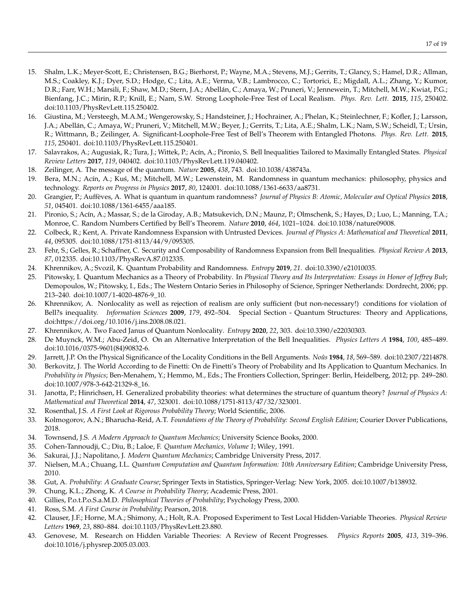- 15. Shalm, L.K.; Meyer-Scott, E.; Christensen, B.G.; Bierhorst, P.; Wayne, M.A.; Stevens, M.J.; Gerrits, T.; Glancy, S.; Hamel, D.R.; Allman, M.S.; Coakley, K.J.; Dyer, S.D.; Hodge, C.; Lita, A.E.; Verma, V.B.; Lambrocco, C.; Tortorici, E.; Migdall, A.L.; Zhang, Y.; Kumor, D.R.; Farr, W.H.; Marsili, F.; Shaw, M.D.; Stern, J.A.; Abellán, C.; Amaya, W.; Pruneri, V.; Jennewein, T.; Mitchell, M.W.; Kwiat, P.G.; Bienfang, J.C.; Mirin, R.P.; Knill, E.; Nam, S.W. Strong Loophole-Free Test of Local Realism. *Phys. Rev. Lett.* **2015**, *115*, 250402. doi[:10.1103/PhysRevLett.115.250402.](https://doi.org/10.1103/PhysRevLett.115.250402)
- <span id="page-16-0"></span>16. Giustina, M.; Versteegh, M.A.M.; Wengerowsky, S.; Handsteiner, J.; Hochrainer, A.; Phelan, K.; Steinlechner, F.; Kofler, J.; Larsson, J.A.; Abellán, C.; Amaya, W.; Pruneri, V.; Mitchell, M.W.; Beyer, J.; Gerrits, T.; Lita, A.E.; Shalm, L.K.; Nam, S.W.; Scheidl, T.; Ursin, R.; Wittmann, B.; Zeilinger, A. Significant-Loophole-Free Test of Bell's Theorem with Entangled Photons. *Phys. Rev. Lett.* **2015**, *115*, 250401. doi[:10.1103/PhysRevLett.115.250401.](https://doi.org/10.1103/PhysRevLett.115.250401)
- <span id="page-16-1"></span>17. Salavrakos, A.; Augusiak, R.; Tura, J.; Wittek, P.; Acín, A.; Pironio, S. Bell Inequalities Tailored to Maximally Entangled States. *Physical Review Letters* **2017**, *119*, 040402. doi[:10.1103/PhysRevLett.119.040402.](https://doi.org/10.1103/PhysRevLett.119.040402)
- <span id="page-16-2"></span>18. Zeilinger, A. The message of the quantum. *Nature* **2005**, *438*, 743. doi[:10.1038/438743a.](https://doi.org/10.1038/438743a)
- 19. Bera, M.N.; Acín, A.; Ku´s, M.; Mitchell, M.W.; Lewenstein, M. Randomness in quantum mechanics: philosophy, physics and technology. *Reports on Progress in Physics* **2017**, *80*, 124001. doi[:10.1088/1361-6633/aa8731.](https://doi.org/10.1088/1361-6633/aa8731)
- <span id="page-16-3"></span>20. Grangier, P.; Auffèves, A. What is quantum in quantum randomness? *Journal of Physics B: Atomic, Molecular and Optical Physics* **2018**, *51*, 045401. doi[:10.1088/1361-6455/aaa185.](https://doi.org/10.1088/1361-6455/aaa185)
- <span id="page-16-4"></span>21. Pironio, S.; Acín, A.; Massar, S.; de la Giroday, A.B.; Matsukevich, D.N.; Maunz, P.; Olmschenk, S.; Hayes, D.; Luo, L.; Manning, T.A.; Monroe, C. Random Numbers Certified by Bell's Theorem. *Nature* **2010**, *464*, 1021–1024. doi[:10.1038/nature09008.](https://doi.org/10.1038/nature09008)
- 22. Colbeck, R.; Kent, A. Private Randomness Expansion with Untrusted Devices. *Journal of Physics A: Mathematical and Theoretical* **2011**, *44*, 095305. doi[:10.1088/1751-8113/44/9/095305.](https://doi.org/10.1088/1751-8113/44/9/095305)
- <span id="page-16-5"></span>23. Fehr, S.; Gelles, R.; Schaffner, C. Security and Composability of Randomness Expansion from Bell Inequalities. *Physical Review A* **2013**, *87*, 012335. doi[:10.1103/PhysRevA.87.012335.](https://doi.org/10.1103/PhysRevA.87.012335)
- <span id="page-16-6"></span>24. Khrennikov, A.; Svozil, K. Quantum Probability and Randomness. *Entropy* **2019**, *21*. doi[:10.3390/e21010035.](https://doi.org/10.3390/e21010035)
- <span id="page-16-7"></span>25. Pitowsky, I. Quantum Mechanics as a Theory of Probability. In *Physical Theory and Its Interpretation: Essays in Honor of Jeffrey Bub*; Demopoulos, W.; Pitowsky, I., Eds.; The Western Ontario Series in Philosophy of Science, Springer Netherlands: Dordrecht, 2006; pp. 213–240. doi[:10.1007/1-4020-4876-9\\_10.](https://doi.org/10.1007/1-4020-4876-9_10)
- <span id="page-16-8"></span>26. Khrennikov, A. Nonlocality as well as rejection of realism are only sufficient (but non-necessary!) conditions for violation of Bell?s inequality. *Information Sciences* **2009**, *179*, 492–504. Special Section - Quantum Structures: Theory and Applications, doi[:https://doi.org/10.1016/j.ins.2008.08.021.](https://doi.org/https://doi.org/10.1016/j.ins.2008.08.021)
- <span id="page-16-9"></span>27. Khrennikov, A. Two Faced Janus of Quantum Nonlocality. *Entropy* **2020**, *22*, 303. doi[:10.3390/e22030303.](https://doi.org/10.3390/e22030303)
- <span id="page-16-10"></span>28. De Muynck, W.M.; Abu-Zeid, O. On an Alternative Interpretation of the Bell Inequalities. *Physics Letters A* **1984**, *100*, 485–489. doi[:10.1016/0375-9601\(84\)90832-6.](https://doi.org/10.1016/0375-9601(84)90832-6)
- <span id="page-16-11"></span>29. Jarrett, J.P. On the Physical Significance of the Locality Conditions in the Bell Arguments. *Noûs* **1984**, *18*, 569–589. doi[:10.2307/2214878.](https://doi.org/10.2307/2214878)
- <span id="page-16-12"></span>30. Berkovitz, J. The World According to de Finetti: On de Finetti's Theory of Probability and Its Application to Quantum Mechanics. In *Probability in Physics*; Ben-Menahem, Y.; Hemmo, M., Eds.; The Frontiers Collection, Springer: Berlin, Heidelberg, 2012; pp. 249–280. doi[:10.1007/978-3-642-21329-8\\_16.](https://doi.org/10.1007/978-3-642-21329-8_16)
- <span id="page-16-13"></span>31. Janotta, P.; Hinrichsen, H. Generalized probability theories: what determines the structure of quantum theory? *Journal of Physics A: Mathematical and Theoretical* **2014**, *47*, 323001. doi[:10.1088/1751-8113/47/32/323001.](https://doi.org/10.1088/1751-8113/47/32/323001)
- <span id="page-16-14"></span>32. Rosenthal, J.S. *A First Look at Rigorous Probability Theory*; World Scientific, 2006.
- <span id="page-16-15"></span>33. Kolmogorov, A.N.; Bharucha-Reid, A.T. *Foundations of the Theory of Probability: Second English Edition*; Courier Dover Publications, 2018.
- <span id="page-16-16"></span>34. Townsend, J.S. *A Modern Approach to Quantum Mechanics*; University Science Books, 2000.
- 35. Cohen-Tannoudji, C.; Diu, B.; Laloe, F. *Quantum Mechanics, Volume 1*; Wiley, 1991.
- 36. Sakurai, J.J.; Napolitano, J. *Modern Quantum Mechanics*; Cambridge University Press, 2017.
- <span id="page-16-17"></span>37. Nielsen, M.A.; Chuang, I.L. *Quantum Computation and Quantum Information: 10th Anniversary Edition; Cambridge University Press,* 2010.
- <span id="page-16-18"></span>38. Gut, A. *Probability: A Graduate Course*; Springer Texts in Statistics, Springer-Verlag: New York, 2005. doi[:10.1007/b138932.](https://doi.org/10.1007/b138932)
- <span id="page-16-19"></span>39. Chung, K.L.; Zhong, K. *A Course in Probability Theory*; Academic Press, 2001.
- <span id="page-16-20"></span>40. Gillies, P.o.t.P.o.S.a.M.D. *Philosophical Theories of Probability*; Psychology Press, 2000.
- <span id="page-16-21"></span>41. Ross, S.M. *A First Course in Probability*; Pearson, 2018.
- <span id="page-16-22"></span>42. Clauser, J.F.; Horne, M.A.; Shimony, A.; Holt, R.A. Proposed Experiment to Test Local Hidden-Variable Theories. *Physical Review Letters* **1969**, *23*, 880–884. doi[:10.1103/PhysRevLett.23.880.](https://doi.org/10.1103/PhysRevLett.23.880)
- <span id="page-16-23"></span>43. Genovese, M. Research on Hidden Variable Theories: A Review of Recent Progresses. *Physics Reports* **2005**, *413*, 319–396. doi[:10.1016/j.physrep.2005.03.003.](https://doi.org/10.1016/j.physrep.2005.03.003)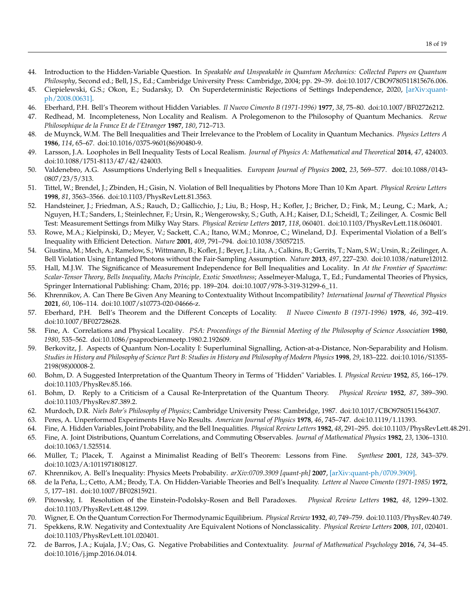- <span id="page-17-0"></span>44. Introduction to the Hidden-Variable Question. In *Speakable and Unspeakable in Quantum Mechanics: Collected Papers on Quantum Philosophy*, Second ed.; Bell, J.S., Ed.; Cambridge University Press: Cambridge, 2004; pp. 29–39. doi[:10.1017/CBO9780511815676.006.](https://doi.org/10.1017/CBO9780511815676.006)
- <span id="page-17-1"></span>45. Ciepielewski, G.S.; Okon, E.; Sudarsky, D. On Superdeterministic Rejections of Settings Independence, 2020, [\[arXiv:quant](http://xxx.lanl.gov/abs/2008.00631)[ph/2008.00631\].](http://xxx.lanl.gov/abs/2008.00631)
- <span id="page-17-2"></span>46. Eberhard, P.H. Bell's Theorem without Hidden Variables. *Il Nuovo Cimento B (1971-1996)* **1977**, *38*, 75–80. doi[:10.1007/BF02726212.](https://doi.org/10.1007/BF02726212)
- <span id="page-17-4"></span>47. Redhead, M. Incompleteness, Non Locality and Realism. A Prolegomenon to the Philosophy of Quantum Mechanics. *Revue Philosophique de la France Et de l'Etranger* **1987**, *180*, 712–713.
- <span id="page-17-3"></span>48. de Muynck, W.M. The Bell Inequalities and Their Irrelevance to the Problem of Locality in Quantum Mechanics. *Physics Letters A* **1986**, *114*, 65–67. doi[:10.1016/0375-9601\(86\)90480-9.](https://doi.org/10.1016/0375-9601(86)90480-9)
- <span id="page-17-5"></span>49. Larsson, J.A. Loopholes in Bell Inequality Tests of Local Realism. *Journal of Physics A: Mathematical and Theoretical* **2014**, *47*, 424003. doi[:10.1088/1751-8113/47/42/424003.](https://doi.org/10.1088/1751-8113/47/42/424003)
- <span id="page-17-6"></span>50. Valdenebro, A.G. Assumptions Underlying Bell s Inequalities. *European Journal of Physics* **2002**, *23*, 569–577. doi[:10.1088/0143-](https://doi.org/10.1088/0143-0807/23/5/313) [0807/23/5/313.](https://doi.org/10.1088/0143-0807/23/5/313)
- <span id="page-17-7"></span>51. Tittel, W.; Brendel, J.; Zbinden, H.; Gisin, N. Violation of Bell Inequalities by Photons More Than 10 Km Apart. *Physical Review Letters* **1998**, *81*, 3563–3566. doi[:10.1103/PhysRevLett.81.3563.](https://doi.org/10.1103/PhysRevLett.81.3563)
- 52. Handsteiner, J.; Friedman, A.S.; Rauch, D.; Gallicchio, J.; Liu, B.; Hosp, H.; Kofler, J.; Bricher, D.; Fink, M.; Leung, C.; Mark, A.; Nguyen, H.T.; Sanders, I.; Steinlechner, F.; Ursin, R.; Wengerowsky, S.; Guth, A.H.; Kaiser, D.I.; Scheidl, T.; Zeilinger, A. Cosmic Bell Test: Measurement Settings from Milky Way Stars. *Physical Review Letters* **2017**, *118*, 060401. doi[:10.1103/PhysRevLett.118.060401.](https://doi.org/10.1103/PhysRevLett.118.060401)
- 53. Rowe, M.A.; Kielpinski, D.; Meyer, V.; Sackett, C.A.; Itano, W.M.; Monroe, C.; Wineland, D.J. Experimental Violation of a Bell's Inequality with Efficient Detection. *Nature* **2001**, *409*, 791–794. doi[:10.1038/35057215.](https://doi.org/10.1038/35057215)
- <span id="page-17-8"></span>54. Giustina, M.; Mech, A.; Ramelow, S.; Wittmann, B.; Kofler, J.; Beyer, J.; Lita, A.; Calkins, B.; Gerrits, T.; Nam, S.W.; Ursin, R.; Zeilinger, A. Bell Violation Using Entangled Photons without the Fair-Sampling Assumption. *Nature* **2013**, *497*, 227–230. doi[:10.1038/nature12012.](https://doi.org/10.1038/nature12012)
- <span id="page-17-9"></span>55. Hall, M.J.W. The Significance of Measurement Independence for Bell Inequalities and Locality. In *At the Frontier of Spacetime: Scalar-Tensor Theory, Bells Inequality, Machs Principle, Exotic Smoothness*; Asselmeyer-Maluga, T., Ed.; Fundamental Theories of Physics, Springer International Publishing: Cham, 2016; pp. 189–204. doi[:10.1007/978-3-319-31299-6\\_11.](https://doi.org/10.1007/978-3-319-31299-6_11)
- <span id="page-17-10"></span>56. Khrennikov, A. Can There Be Given Any Meaning to Contextuality Without Incompatibility? *International Journal of Theoretical Physics* **2021**, *60*, 106–114. doi[:10.1007/s10773-020-04666-z.](https://doi.org/10.1007/s10773-020-04666-z)
- <span id="page-17-11"></span>57. Eberhard, P.H. Bell's Theorem and the Different Concepts of Locality. *Il Nuovo Cimento B (1971-1996)* **1978**, *46*, 392–419. doi[:10.1007/BF02728628.](https://doi.org/10.1007/BF02728628)
- 58. Fine, A. Correlations and Physical Locality. *PSA: Proceedings of the Biennial Meeting of the Philosophy of Science Association* **1980**, *1980*, 535–562. doi[:10.1086/psaprocbienmeetp.1980.2.192609.](https://doi.org/10.1086/psaprocbienmeetp.1980.2.192609)
- <span id="page-17-12"></span>59. Berkovitz, J. Aspects of Quantum Non-Locality I: Superluminal Signalling, Action-at-a-Distance, Non-Separability and Holism. *Studies in History and Philosophy of Science Part B: Studies in History and Philosophy of Modern Physics* **1998**, *29*, 183–222. doi[:10.1016/S1355-](https://doi.org/10.1016/S1355-2198(98)00008-2) [2198\(98\)00008-2.](https://doi.org/10.1016/S1355-2198(98)00008-2)
- <span id="page-17-13"></span>60. Bohm, D. A Suggested Interpretation of the Quantum Theory in Terms of "Hidden" Variables. I. *Physical Review* **1952**, *85*, 166–179. doi[:10.1103/PhysRev.85.166.](https://doi.org/10.1103/PhysRev.85.166)
- <span id="page-17-14"></span>61. Bohm, D. Reply to a Criticism of a Causal Re-Interpretation of the Quantum Theory. *Physical Review* **1952**, *87*, 389–390. doi[:10.1103/PhysRev.87.389.2.](https://doi.org/10.1103/PhysRev.87.389.2)
- <span id="page-17-15"></span>62. Murdoch, D.R. *Niels Bohr's Philosophy of Physics*; Cambridge University Press: Cambridge, 1987. doi[:10.1017/CBO9780511564307.](https://doi.org/10.1017/CBO9780511564307)
- <span id="page-17-16"></span>63. Peres, A. Unperformed Experiments Have No Results. *American Journal of Physics* **1978**, *46*, 745–747. doi[:10.1119/1.11393.](https://doi.org/10.1119/1.11393)
- <span id="page-17-17"></span>64. Fine, A. Hidden Variables, Joint Probability, and the Bell Inequalities. *Physical Review Letters* **1982**, *48*, 291–295. doi[:10.1103/PhysRevLett.48.291.](https://doi.org/10.1103/PhysRevLett.48.291)
- <span id="page-17-18"></span>65. Fine, A. Joint Distributions, Quantum Correlations, and Commuting Observables. *Journal of Mathematical Physics* **1982**, *23*, 1306–1310. doi[:10.1063/1.525514.](https://doi.org/10.1063/1.525514)
- 66. Müller, T.; Placek, T. Against a Minimalist Reading of Bell's Theorem: Lessons from Fine. *Synthese* **2001**, *128*, 343–379. doi[:10.1023/A:1011971808127.](https://doi.org/10.1023/A:1011971808127)
- <span id="page-17-19"></span>67. Khrennikov, A. Bell's Inequality: Physics Meets Probability. *arXiv:0709.3909 [quant-ph]* **2007**, [\[arXiv:quant-ph/0709.3909\].](http://xxx.lanl.gov/abs/0709.3909)
- 68. de la Peña, L.; Cetto, A.M.; Brody, T.A. On Hidden-Variable Theories and Bell's Inequality. *Lettere al Nuovo Cimento (1971-1985)* **1972**, *5*, 177–181. doi[:10.1007/BF02815921.](https://doi.org/10.1007/BF02815921)
- <span id="page-17-20"></span>69. Pitowsky, I. Resolution of the Einstein-Podolsky-Rosen and Bell Paradoxes. *Physical Review Letters* **1982**, *48*, 1299–1302. doi[:10.1103/PhysRevLett.48.1299.](https://doi.org/10.1103/PhysRevLett.48.1299)
- <span id="page-17-21"></span>70. Wigner, E. On the Quantum Correction For Thermodynamic Equilibrium. *Physical Review* **1932**, *40*, 749–759. doi[:10.1103/PhysRev.40.749.](https://doi.org/10.1103/PhysRev.40.749)
- <span id="page-17-22"></span>71. Spekkens, R.W. Negativity and Contextuality Are Equivalent Notions of Nonclassicality. *Physical Review Letters* **2008**, *101*, 020401. doi[:10.1103/PhysRevLett.101.020401.](https://doi.org/10.1103/PhysRevLett.101.020401)
- <span id="page-17-23"></span>72. de Barros, J.A.; Kujala, J.V.; Oas, G. Negative Probabilities and Contextuality. *Journal of Mathematical Psychology* **2016**, *74*, 34–45. doi[:10.1016/j.jmp.2016.04.014.](https://doi.org/10.1016/j.jmp.2016.04.014)